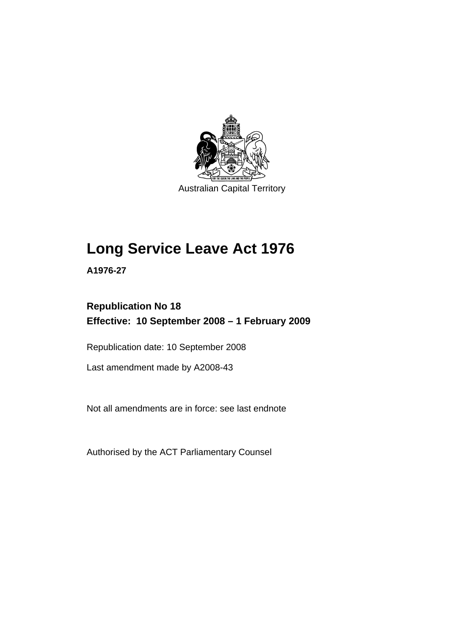

Australian Capital Territory

# **[Long Service Leave Act 1976](#page-6-0)**

**A1976-27** 

# **Republication No 18 Effective: 10 September 2008 – 1 February 2009**

Republication date: 10 September 2008

Last amendment made by A2008-43

Not all amendments are in force: see last endnote

Authorised by the ACT Parliamentary Counsel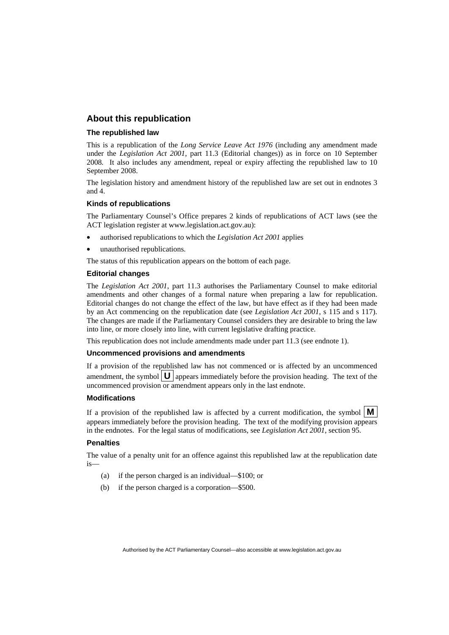### **About this republication**

#### **The republished law**

This is a republication of the *Long Service Leave Act 1976* (including any amendment made under the *Legislation Act 2001*, part 11.3 (Editorial changes)) as in force on 10 September 2008*.* It also includes any amendment, repeal or expiry affecting the republished law to 10 September 2008.

The legislation history and amendment history of the republished law are set out in endnotes 3 and 4.

#### **Kinds of republications**

The Parliamentary Counsel's Office prepares 2 kinds of republications of ACT laws (see the ACT legislation register at www.legislation.act.gov.au):

- authorised republications to which the *Legislation Act 2001* applies
- unauthorised republications.

The status of this republication appears on the bottom of each page.

#### **Editorial changes**

The *Legislation Act 2001*, part 11.3 authorises the Parliamentary Counsel to make editorial amendments and other changes of a formal nature when preparing a law for republication. Editorial changes do not change the effect of the law, but have effect as if they had been made by an Act commencing on the republication date (see *Legislation Act 2001*, s 115 and s 117). The changes are made if the Parliamentary Counsel considers they are desirable to bring the law into line, or more closely into line, with current legislative drafting practice.

This republication does not include amendments made under part 11.3 (see endnote 1).

#### **Uncommenced provisions and amendments**

If a provision of the republished law has not commenced or is affected by an uncommenced amendment, the symbol  $\mathbf{U}$  appears immediately before the provision heading. The text of the uncommenced provision  $\overline{or}$  amendment appears only in the last endnote.

#### **Modifications**

If a provision of the republished law is affected by a current modification, the symbol  $\mathbf{M}$ appears immediately before the provision heading. The text of the modifying provision appears in the endnotes. For the legal status of modifications, see *Legislation Act 2001*, section 95.

#### **Penalties**

The value of a penalty unit for an offence against this republished law at the republication date is—

- (a) if the person charged is an individual—\$100; or
- (b) if the person charged is a corporation—\$500.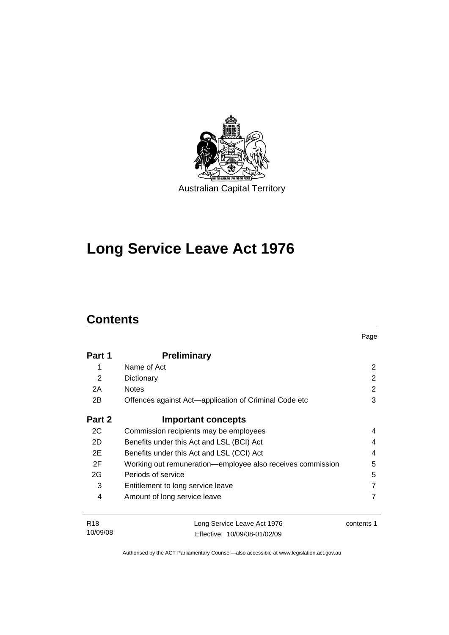

# **[Long Service Leave Act 1976](#page-6-0)**

# **Contents**

10/09/08

| Part 1          | <b>Preliminary</b>                                         |            |
|-----------------|------------------------------------------------------------|------------|
| 1               | Name of Act                                                | 2          |
| $\overline{2}$  | Dictionary                                                 | 2          |
| 2A              | <b>Notes</b>                                               | 2          |
| 2B              | Offences against Act—application of Criminal Code etc      | 3          |
| Part 2          | <b>Important concepts</b>                                  |            |
| 2C              | Commission recipients may be employees                     | 4          |
| 2D              | Benefits under this Act and LSL (BCI) Act                  | 4          |
| 2E              | Benefits under this Act and LSL (CCI) Act                  | 4          |
| 2F              | Working out remuneration-employee also receives commission | 5          |
| 2G              | Periods of service                                         | 5          |
| 3               | Entitlement to long service leave                          |            |
| 4               | Amount of long service leave                               |            |
| R <sub>18</sub> | Long Service Leave Act 1976                                | contents 1 |

Page

Authorised by the ACT Parliamentary Counsel—also accessible at www.legislation.act.gov.au

Effective: 10/09/08-01/02/09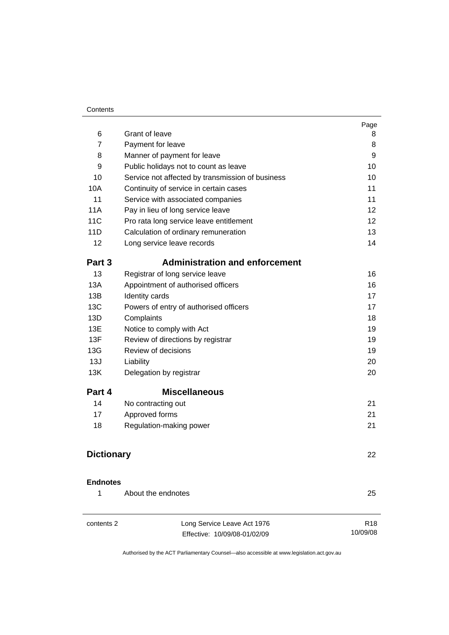#### **Contents**

|                     | <b>Grant of leave</b>                            | Page                    |
|---------------------|--------------------------------------------------|-------------------------|
| 6<br>$\overline{7}$ |                                                  | 8<br>8                  |
|                     | Payment for leave                                |                         |
| 8<br>9              | Manner of payment for leave                      | 9<br>10                 |
| 10                  | Public holidays not to count as leave            | 10                      |
| 10A                 | Service not affected by transmission of business | 11                      |
| 11                  | Continuity of service in certain cases           | 11                      |
| <b>11A</b>          | Service with associated companies                | 12                      |
| 11C                 | Pay in lieu of long service leave                |                         |
| 11D                 | Pro rata long service leave entitlement          | $12 \overline{ }$<br>13 |
| 12                  | Calculation of ordinary remuneration             | 14                      |
|                     | Long service leave records                       |                         |
| Part 3              | <b>Administration and enforcement</b>            |                         |
| 13                  | Registrar of long service leave                  | 16                      |
| 13A                 | Appointment of authorised officers               | 16                      |
| 13B                 | Identity cards                                   | 17                      |
| 13C                 | Powers of entry of authorised officers           | 17                      |
| 13D                 | Complaints                                       | 18                      |
| 13E                 | Notice to comply with Act                        | 19                      |
| 13F                 | Review of directions by registrar                | 19                      |
| 13G                 | Review of decisions                              | 19                      |
| 13J                 | Liability                                        | 20                      |
| 13K                 | Delegation by registrar                          | 20                      |
| Part 4              | <b>Miscellaneous</b>                             |                         |
| 14                  | No contracting out                               | 21                      |
| 17                  | Approved forms                                   | 21                      |
| 18                  | Regulation-making power                          | 21                      |
| <b>Dictionary</b>   |                                                  | 22                      |
|                     |                                                  |                         |
| <b>Endnotes</b>     |                                                  |                         |
| 1                   | About the endnotes                               | 25                      |
| contents 2          | Long Service Leave Act 1976                      | R <sub>18</sub>         |
|                     | Effective: 10/09/08-01/02/09                     | 10/09/08                |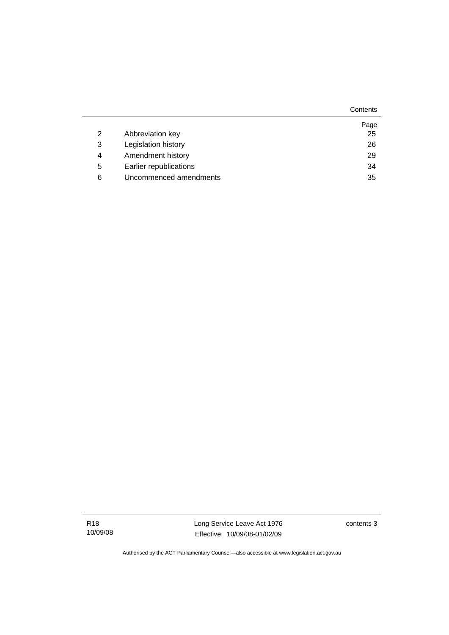**Contents** 

|   |                        | Page |
|---|------------------------|------|
| 2 | Abbreviation key       | 25   |
| 3 | Legislation history    | 26   |
| 4 | Amendment history      | 29   |
| 5 | Earlier republications | 34   |
| 6 | Uncommenced amendments | 35   |

R18 10/09/08 Long Service Leave Act 1976 Effective: 10/09/08-01/02/09

contents 3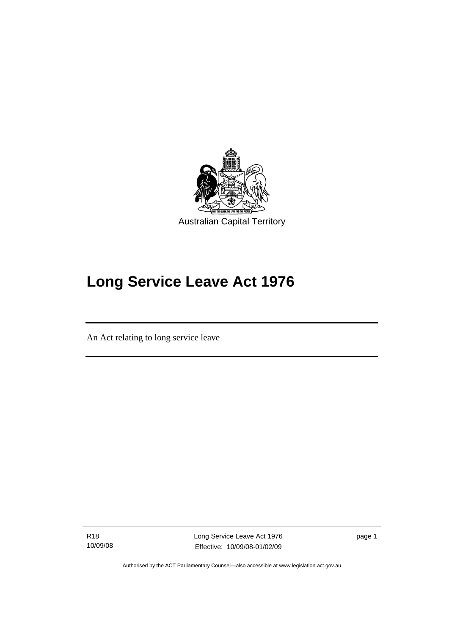<span id="page-6-0"></span>

# **Long Service Leave Act 1976**

An Act relating to long service leave

R18 10/09/08

I

Long Service Leave Act 1976 Effective: 10/09/08-01/02/09

page 1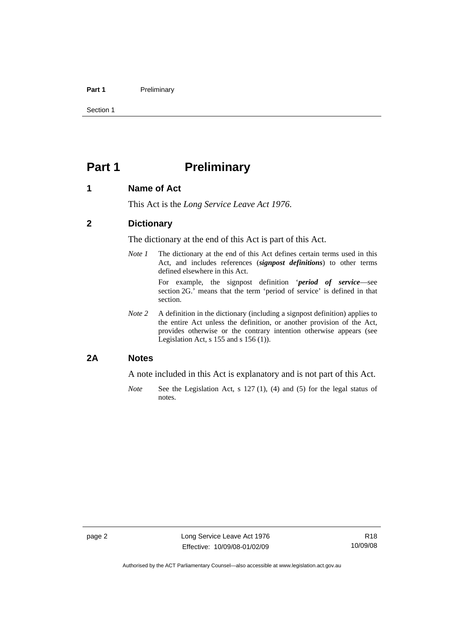#### <span id="page-7-0"></span>Part 1 **Preliminary**

Section 1

## **Part 1** Preliminary

#### **1 Name of Act**

This Act is the *Long Service Leave Act 1976*.

#### **2 Dictionary**

The dictionary at the end of this Act is part of this Act.

*Note 1* The dictionary at the end of this Act defines certain terms used in this Act, and includes references (*signpost definitions*) to other terms defined elsewhere in this Act.

> For example, the signpost definition '*period of service*—see section 2G.' means that the term 'period of service' is defined in that section.

*Note 2* A definition in the dictionary (including a signpost definition) applies to the entire Act unless the definition, or another provision of the Act, provides otherwise or the contrary intention otherwise appears (see Legislation Act, s 155 and s 156 (1)).

#### **2A Notes**

A note included in this Act is explanatory and is not part of this Act.

*Note* See the Legislation Act, s 127 (1), (4) and (5) for the legal status of notes.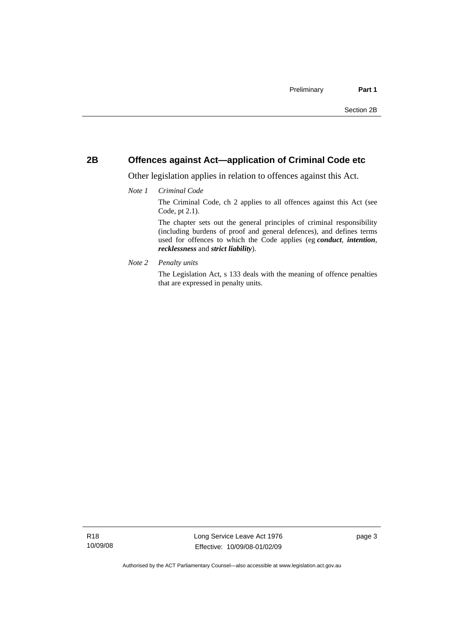## <span id="page-8-0"></span>**2B Offences against Act—application of Criminal Code etc**

Other legislation applies in relation to offences against this Act.

#### *Note 1 Criminal Code*

The Criminal Code, ch 2 applies to all offences against this Act (see Code, pt 2.1).

The chapter sets out the general principles of criminal responsibility (including burdens of proof and general defences), and defines terms used for offences to which the Code applies (eg *conduct*, *intention*, *recklessness* and *strict liability*).

*Note 2 Penalty units* 

The Legislation Act, s 133 deals with the meaning of offence penalties that are expressed in penalty units.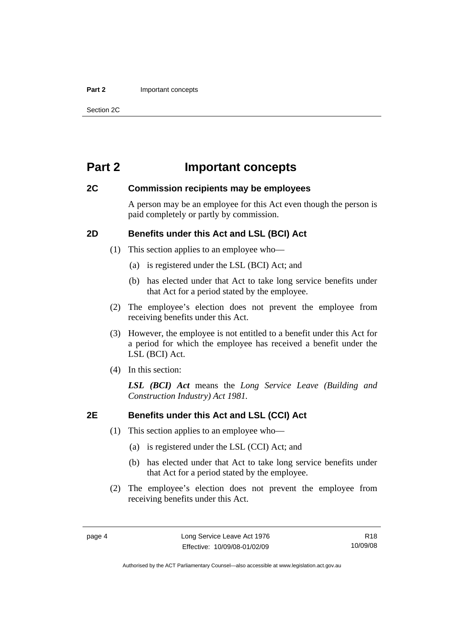#### <span id="page-9-0"></span>**Part 2** Important concepts

Section 2C

## **Part 2 Important concepts**

## **2C Commission recipients may be employees**

A person may be an employee for this Act even though the person is paid completely or partly by commission.

## **2D Benefits under this Act and LSL (BCI) Act**

- (1) This section applies to an employee who—
	- (a) is registered under the LSL (BCI) Act; and
	- (b) has elected under that Act to take long service benefits under that Act for a period stated by the employee.
- (2) The employee's election does not prevent the employee from receiving benefits under this Act.
- (3) However, the employee is not entitled to a benefit under this Act for a period for which the employee has received a benefit under the LSL (BCI) Act.
- (4) In this section:

*LSL (BCI) Act* means the *Long Service Leave (Building and Construction Industry) Act 1981.*

## **2E Benefits under this Act and LSL (CCI) Act**

- (1) This section applies to an employee who—
	- (a) is registered under the LSL (CCI) Act; and
	- (b) has elected under that Act to take long service benefits under that Act for a period stated by the employee.
- (2) The employee's election does not prevent the employee from receiving benefits under this Act.

R18 10/09/08

Authorised by the ACT Parliamentary Counsel—also accessible at www.legislation.act.gov.au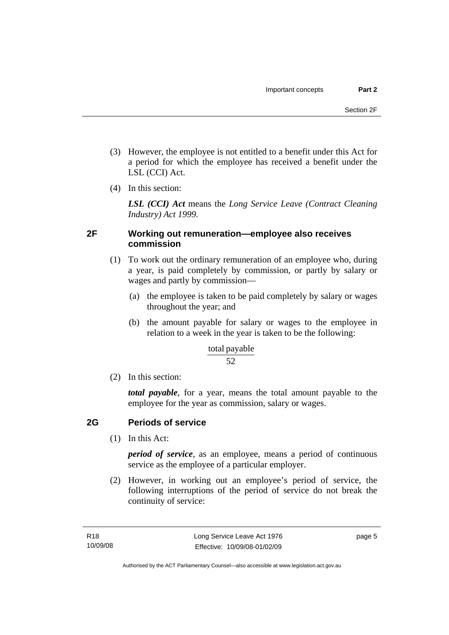- <span id="page-10-0"></span> (3) However, the employee is not entitled to a benefit under this Act for a period for which the employee has received a benefit under the LSL (CCI) Act.
- (4) In this section:

*LSL (CCI) Act* means the *Long Service Leave (Contract Cleaning Industry) Act 1999.*

## **2F Working out remuneration—employee also receives commission**

- (1) To work out the ordinary remuneration of an employee who, during a year, is paid completely by commission, or partly by salary or wages and partly by commission—
	- (a) the employee is taken to be paid completely by salary or wages throughout the year; and
	- (b) the amount payable for salary or wages to the employee in relation to a week in the year is taken to be the following:

## total payable

## 52

(2) In this section:

*total payable*, for a year, means the total amount payable to the employee for the year as commission, salary or wages.

## **2G Periods of service**

(1) In this Act:

*period of service*, as an employee, means a period of continuous service as the employee of a particular employer.

 (2) However, in working out an employee's period of service, the following interruptions of the period of service do not break the continuity of service: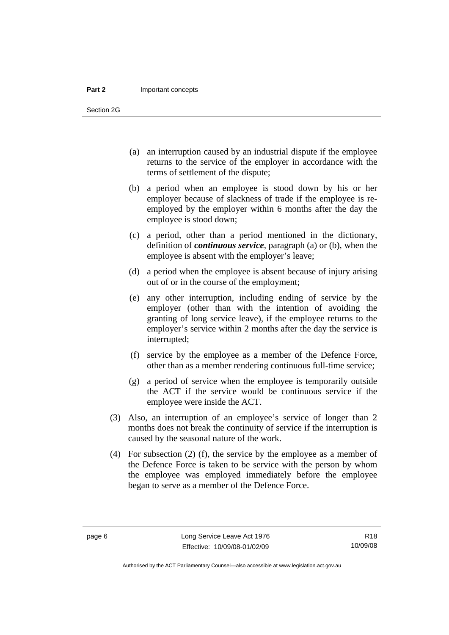#### **Part 2** Important concepts

Section 2G

- (a) an interruption caused by an industrial dispute if the employee returns to the service of the employer in accordance with the terms of settlement of the dispute;
- (b) a period when an employee is stood down by his or her employer because of slackness of trade if the employee is reemployed by the employer within 6 months after the day the employee is stood down;
- (c) a period, other than a period mentioned in the dictionary, definition of *continuous service*, paragraph (a) or (b), when the employee is absent with the employer's leave;
- (d) a period when the employee is absent because of injury arising out of or in the course of the employment;
- (e) any other interruption, including ending of service by the employer (other than with the intention of avoiding the granting of long service leave), if the employee returns to the employer's service within 2 months after the day the service is interrupted;
- (f) service by the employee as a member of the Defence Force, other than as a member rendering continuous full-time service;
- (g) a period of service when the employee is temporarily outside the ACT if the service would be continuous service if the employee were inside the ACT.
- (3) Also, an interruption of an employee's service of longer than 2 months does not break the continuity of service if the interruption is caused by the seasonal nature of the work.
- (4) For subsection (2) (f), the service by the employee as a member of the Defence Force is taken to be service with the person by whom the employee was employed immediately before the employee began to serve as a member of the Defence Force.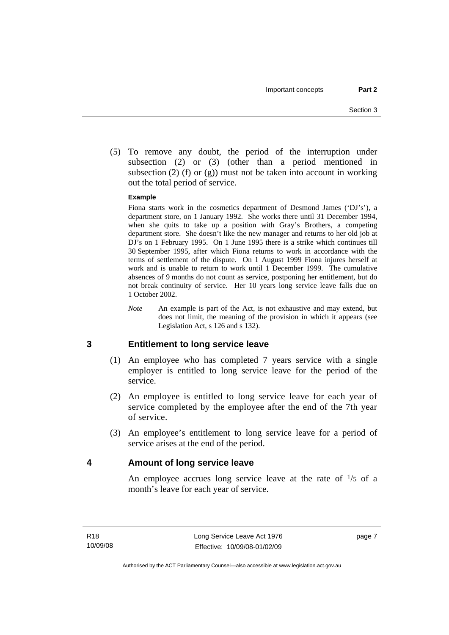<span id="page-12-0"></span> (5) To remove any doubt, the period of the interruption under subsection (2) or (3) (other than a period mentioned in subsection (2) (f) or (g)) must not be taken into account in working out the total period of service.

#### **Example**

Fiona starts work in the cosmetics department of Desmond James ('DJ's'), a department store, on 1 January 1992. She works there until 31 December 1994, when she quits to take up a position with Gray's Brothers, a competing department store. She doesn't like the new manager and returns to her old job at DJ's on 1 February 1995. On 1 June 1995 there is a strike which continues till 30 September 1995, after which Fiona returns to work in accordance with the terms of settlement of the dispute. On 1 August 1999 Fiona injures herself at work and is unable to return to work until 1 December 1999. The cumulative absences of 9 months do not count as service, postponing her entitlement, but do not break continuity of service. Her 10 years long service leave falls due on 1 October 2002.

*Note* An example is part of the Act, is not exhaustive and may extend, but does not limit, the meaning of the provision in which it appears (see Legislation Act, s 126 and s 132).

## **3 Entitlement to long service leave**

- (1) An employee who has completed 7 years service with a single employer is entitled to long service leave for the period of the service.
- (2) An employee is entitled to long service leave for each year of service completed by the employee after the end of the 7th year of service.
- (3) An employee's entitlement to long service leave for a period of service arises at the end of the period.

## **4 Amount of long service leave**

An employee accrues long service leave at the rate of  $\frac{1}{5}$  of a month's leave for each year of service.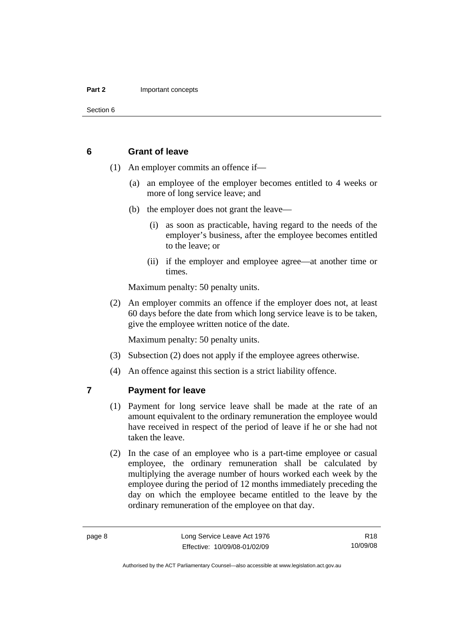<span id="page-13-0"></span>Section 6

#### **6 Grant of leave**

- (1) An employer commits an offence if—
	- (a) an employee of the employer becomes entitled to 4 weeks or more of long service leave; and
	- (b) the employer does not grant the leave—
		- (i) as soon as practicable, having regard to the needs of the employer's business, after the employee becomes entitled to the leave; or
		- (ii) if the employer and employee agree—at another time or times.

Maximum penalty: 50 penalty units.

 (2) An employer commits an offence if the employer does not, at least 60 days before the date from which long service leave is to be taken, give the employee written notice of the date.

Maximum penalty: 50 penalty units.

- (3) Subsection (2) does not apply if the employee agrees otherwise.
- (4) An offence against this section is a strict liability offence.

## **7 Payment for leave**

- (1) Payment for long service leave shall be made at the rate of an amount equivalent to the ordinary remuneration the employee would have received in respect of the period of leave if he or she had not taken the leave.
- (2) In the case of an employee who is a part-time employee or casual employee, the ordinary remuneration shall be calculated by multiplying the average number of hours worked each week by the employee during the period of 12 months immediately preceding the day on which the employee became entitled to the leave by the ordinary remuneration of the employee on that day.

Authorised by the ACT Parliamentary Counsel—also accessible at www.legislation.act.gov.au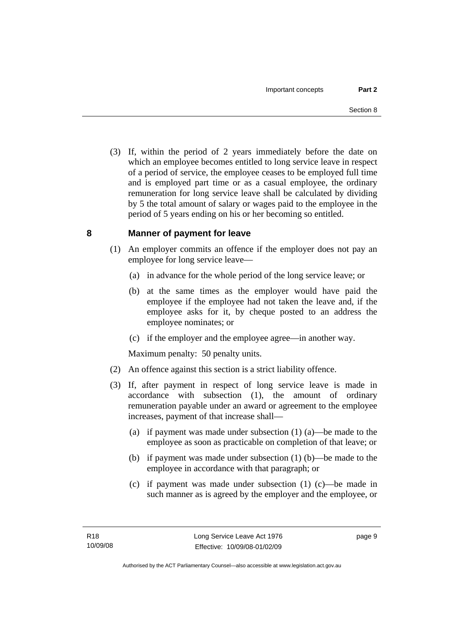<span id="page-14-0"></span> (3) If, within the period of 2 years immediately before the date on which an employee becomes entitled to long service leave in respect of a period of service, the employee ceases to be employed full time and is employed part time or as a casual employee, the ordinary remuneration for long service leave shall be calculated by dividing by 5 the total amount of salary or wages paid to the employee in the period of 5 years ending on his or her becoming so entitled.

## **8 Manner of payment for leave**

- (1) An employer commits an offence if the employer does not pay an employee for long service leave—
	- (a) in advance for the whole period of the long service leave; or
	- (b) at the same times as the employer would have paid the employee if the employee had not taken the leave and, if the employee asks for it, by cheque posted to an address the employee nominates; or
	- (c) if the employer and the employee agree—in another way.

Maximum penalty: 50 penalty units.

- (2) An offence against this section is a strict liability offence.
- (3) If, after payment in respect of long service leave is made in accordance with subsection (1), the amount of ordinary remuneration payable under an award or agreement to the employee increases, payment of that increase shall—
	- (a) if payment was made under subsection (1) (a)—be made to the employee as soon as practicable on completion of that leave; or
	- (b) if payment was made under subsection (1) (b)—be made to the employee in accordance with that paragraph; or
	- (c) if payment was made under subsection (1) (c)—be made in such manner as is agreed by the employer and the employee, or

page 9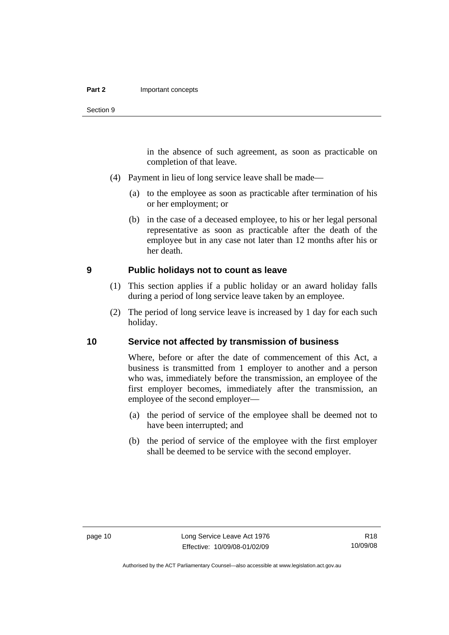in the absence of such agreement, as soon as practicable on completion of that leave.

- <span id="page-15-0"></span> (4) Payment in lieu of long service leave shall be made—
	- (a) to the employee as soon as practicable after termination of his or her employment; or
	- (b) in the case of a deceased employee, to his or her legal personal representative as soon as practicable after the death of the employee but in any case not later than 12 months after his or her death.

#### **9 Public holidays not to count as leave**

- (1) This section applies if a public holiday or an award holiday falls during a period of long service leave taken by an employee.
- (2) The period of long service leave is increased by 1 day for each such holiday.

#### **10 Service not affected by transmission of business**

Where, before or after the date of commencement of this Act, a business is transmitted from 1 employer to another and a person who was, immediately before the transmission, an employee of the first employer becomes, immediately after the transmission, an employee of the second employer—

- (a) the period of service of the employee shall be deemed not to have been interrupted; and
- (b) the period of service of the employee with the first employer shall be deemed to be service with the second employer.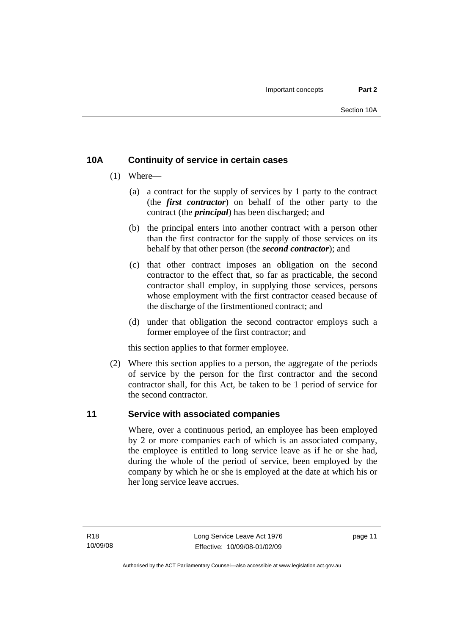## <span id="page-16-0"></span>**10A Continuity of service in certain cases**

- (1) Where—
	- (a) a contract for the supply of services by 1 party to the contract (the *first contractor*) on behalf of the other party to the contract (the *principal*) has been discharged; and
	- (b) the principal enters into another contract with a person other than the first contractor for the supply of those services on its behalf by that other person (the *second contractor*); and
	- (c) that other contract imposes an obligation on the second contractor to the effect that, so far as practicable, the second contractor shall employ, in supplying those services, persons whose employment with the first contractor ceased because of the discharge of the firstmentioned contract; and
	- (d) under that obligation the second contractor employs such a former employee of the first contractor; and

this section applies to that former employee.

 (2) Where this section applies to a person, the aggregate of the periods of service by the person for the first contractor and the second contractor shall, for this Act, be taken to be 1 period of service for the second contractor.

## **11 Service with associated companies**

Where, over a continuous period, an employee has been employed by 2 or more companies each of which is an associated company, the employee is entitled to long service leave as if he or she had, during the whole of the period of service, been employed by the company by which he or she is employed at the date at which his or her long service leave accrues.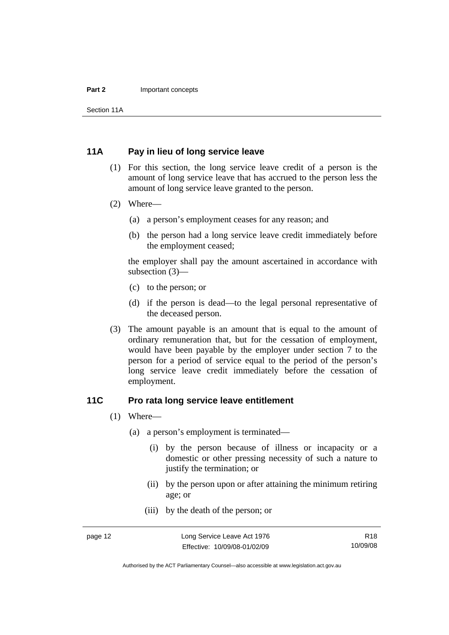#### <span id="page-17-0"></span>**Part 2** Important concepts

Section 11A

## **11A Pay in lieu of long service leave**

- (1) For this section, the long service leave credit of a person is the amount of long service leave that has accrued to the person less the amount of long service leave granted to the person.
- (2) Where—
	- (a) a person's employment ceases for any reason; and
	- (b) the person had a long service leave credit immediately before the employment ceased;

the employer shall pay the amount ascertained in accordance with subsection (3)—

- (c) to the person; or
- (d) if the person is dead—to the legal personal representative of the deceased person.
- (3) The amount payable is an amount that is equal to the amount of ordinary remuneration that, but for the cessation of employment, would have been payable by the employer under section 7 to the person for a period of service equal to the period of the person's long service leave credit immediately before the cessation of employment.

#### **11C Pro rata long service leave entitlement**

- (1) Where—
	- (a) a person's employment is terminated—
		- (i) by the person because of illness or incapacity or a domestic or other pressing necessity of such a nature to justify the termination; or
		- (ii) by the person upon or after attaining the minimum retiring age; or
		- (iii) by the death of the person; or

Authorised by the ACT Parliamentary Counsel—also accessible at www.legislation.act.gov.au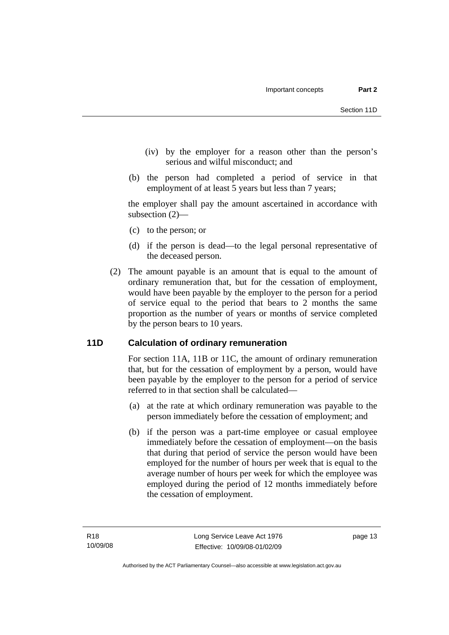- <span id="page-18-0"></span> (iv) by the employer for a reason other than the person's serious and wilful misconduct; and
- (b) the person had completed a period of service in that employment of at least 5 years but less than 7 years;

the employer shall pay the amount ascertained in accordance with subsection (2)—

- (c) to the person; or
- (d) if the person is dead—to the legal personal representative of the deceased person.
- (2) The amount payable is an amount that is equal to the amount of ordinary remuneration that, but for the cessation of employment, would have been payable by the employer to the person for a period of service equal to the period that bears to 2 months the same proportion as the number of years or months of service completed by the person bears to 10 years.

## **11D Calculation of ordinary remuneration**

For section 11A, 11B or 11C, the amount of ordinary remuneration that, but for the cessation of employment by a person, would have been payable by the employer to the person for a period of service referred to in that section shall be calculated—

- (a) at the rate at which ordinary remuneration was payable to the person immediately before the cessation of employment; and
- (b) if the person was a part-time employee or casual employee immediately before the cessation of employment—on the basis that during that period of service the person would have been employed for the number of hours per week that is equal to the average number of hours per week for which the employee was employed during the period of 12 months immediately before the cessation of employment.

page 13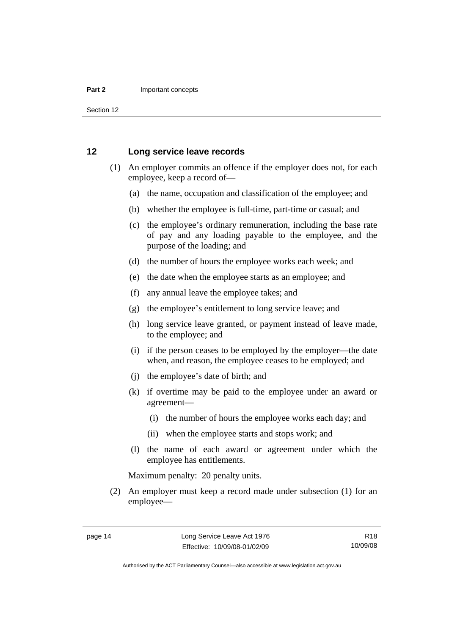<span id="page-19-0"></span>Section 12

#### **12 Long service leave records**

- (1) An employer commits an offence if the employer does not, for each employee, keep a record of—
	- (a) the name, occupation and classification of the employee; and
	- (b) whether the employee is full-time, part-time or casual; and
	- (c) the employee's ordinary remuneration, including the base rate of pay and any loading payable to the employee, and the purpose of the loading; and
	- (d) the number of hours the employee works each week; and
	- (e) the date when the employee starts as an employee; and
	- (f) any annual leave the employee takes; and
	- (g) the employee's entitlement to long service leave; and
	- (h) long service leave granted, or payment instead of leave made, to the employee; and
	- (i) if the person ceases to be employed by the employer—the date when, and reason, the employee ceases to be employed; and
	- (j) the employee's date of birth; and
	- (k) if overtime may be paid to the employee under an award or agreement—
		- (i) the number of hours the employee works each day; and
		- (ii) when the employee starts and stops work; and
	- (l) the name of each award or agreement under which the employee has entitlements.

Maximum penalty: 20 penalty units.

 (2) An employer must keep a record made under subsection (1) for an employee—

Authorised by the ACT Parliamentary Counsel—also accessible at www.legislation.act.gov.au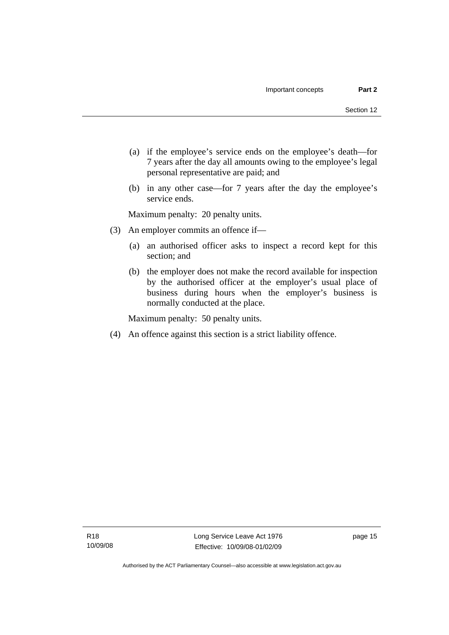- (a) if the employee's service ends on the employee's death—for 7 years after the day all amounts owing to the employee's legal personal representative are paid; and
- (b) in any other case—for 7 years after the day the employee's service ends.

Maximum penalty: 20 penalty units.

- (3) An employer commits an offence if—
	- (a) an authorised officer asks to inspect a record kept for this section; and
	- (b) the employer does not make the record available for inspection by the authorised officer at the employer's usual place of business during hours when the employer's business is normally conducted at the place.

Maximum penalty: 50 penalty units.

(4) An offence against this section is a strict liability offence.

page 15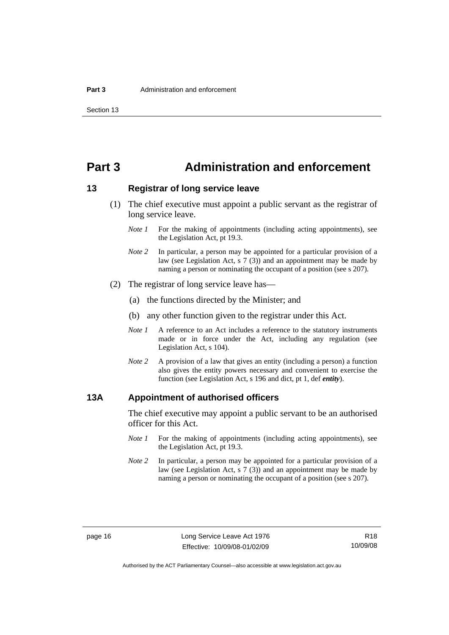## <span id="page-21-0"></span>**Part 3 Administration and enforcement**

## **13 Registrar of long service leave**

- (1) The chief executive must appoint a public servant as the registrar of long service leave.
	- *Note 1* For the making of appointments (including acting appointments), see the Legislation Act, pt 19.3.
	- *Note 2* In particular, a person may be appointed for a particular provision of a law (see Legislation Act,  $s \, 7 \, (3)$ ) and an appointment may be made by naming a person or nominating the occupant of a position (see s 207).
- (2) The registrar of long service leave has—
	- (a) the functions directed by the Minister; and
	- (b) any other function given to the registrar under this Act.
	- *Note 1* A reference to an Act includes a reference to the statutory instruments made or in force under the Act, including any regulation (see Legislation Act, s 104).
	- *Note* 2 A provision of a law that gives an entity (including a person) a function also gives the entity powers necessary and convenient to exercise the function (see Legislation Act, s 196 and dict, pt 1, def *entity*).

#### **13A Appointment of authorised officers**

The chief executive may appoint a public servant to be an authorised officer for this Act.

- *Note 1* For the making of appointments (including acting appointments), see the Legislation Act, pt 19.3.
- *Note 2* In particular, a person may be appointed for a particular provision of a law (see Legislation Act, s 7 (3)) and an appointment may be made by naming a person or nominating the occupant of a position (see s 207).

Authorised by the ACT Parliamentary Counsel—also accessible at www.legislation.act.gov.au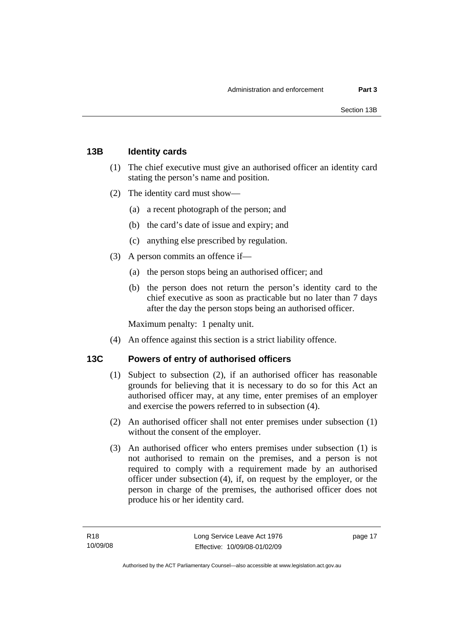## <span id="page-22-0"></span>**13B Identity cards**

- (1) The chief executive must give an authorised officer an identity card stating the person's name and position.
- (2) The identity card must show—
	- (a) a recent photograph of the person; and
	- (b) the card's date of issue and expiry; and
	- (c) anything else prescribed by regulation.
- (3) A person commits an offence if—
	- (a) the person stops being an authorised officer; and
	- (b) the person does not return the person's identity card to the chief executive as soon as practicable but no later than 7 days after the day the person stops being an authorised officer.

Maximum penalty: 1 penalty unit.

(4) An offence against this section is a strict liability offence.

## **13C Powers of entry of authorised officers**

- (1) Subject to subsection (2), if an authorised officer has reasonable grounds for believing that it is necessary to do so for this Act an authorised officer may, at any time, enter premises of an employer and exercise the powers referred to in subsection (4).
- (2) An authorised officer shall not enter premises under subsection (1) without the consent of the employer.
- (3) An authorised officer who enters premises under subsection (1) is not authorised to remain on the premises, and a person is not required to comply with a requirement made by an authorised officer under subsection (4), if, on request by the employer, or the person in charge of the premises, the authorised officer does not produce his or her identity card.

page 17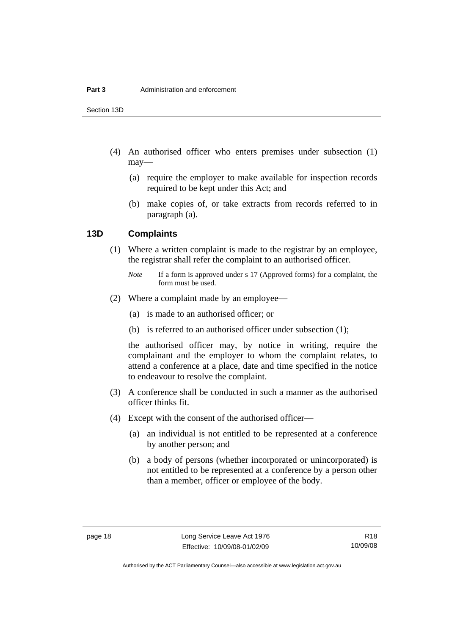<span id="page-23-0"></span>Section 13D

- (4) An authorised officer who enters premises under subsection (1) may—
	- (a) require the employer to make available for inspection records required to be kept under this Act; and
	- (b) make copies of, or take extracts from records referred to in paragraph (a).

#### **13D Complaints**

 (1) Where a written complaint is made to the registrar by an employee, the registrar shall refer the complaint to an authorised officer.

- (2) Where a complaint made by an employee—
	- (a) is made to an authorised officer; or
	- (b) is referred to an authorised officer under subsection (1);

the authorised officer may, by notice in writing, require the complainant and the employer to whom the complaint relates, to attend a conference at a place, date and time specified in the notice to endeavour to resolve the complaint.

- (3) A conference shall be conducted in such a manner as the authorised officer thinks fit.
- (4) Except with the consent of the authorised officer—
	- (a) an individual is not entitled to be represented at a conference by another person; and
	- (b) a body of persons (whether incorporated or unincorporated) is not entitled to be represented at a conference by a person other than a member, officer or employee of the body.

*Note* If a form is approved under s 17 (Approved forms) for a complaint, the form must be used.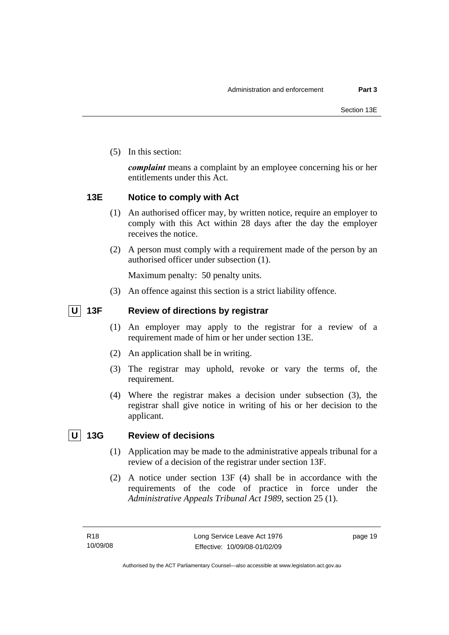<span id="page-24-0"></span>(5) In this section:

*complaint* means a complaint by an employee concerning his or her entitlements under this Act.

## **13E Notice to comply with Act**

- (1) An authorised officer may, by written notice, require an employer to comply with this Act within 28 days after the day the employer receives the notice.
- (2) A person must comply with a requirement made of the person by an authorised officer under subsection (1).

Maximum penalty: 50 penalty units.

(3) An offence against this section is a strict liability offence.

## **U** 13F Review of directions by registrar

- (1) An employer may apply to the registrar for a review of a requirement made of him or her under section 13E.
- (2) An application shall be in writing.
- (3) The registrar may uphold, revoke or vary the terms of, the requirement.
- (4) Where the registrar makes a decision under subsection (3), the registrar shall give notice in writing of his or her decision to the applicant.

## **U 13G Review of decisions**

- (1) Application may be made to the administrative appeals tribunal for a review of a decision of the registrar under section 13F.
- (2) A notice under section 13F (4) shall be in accordance with the requirements of the code of practice in force under the *Administrative Appeals Tribunal Act 1989*, section 25 (1).

page 19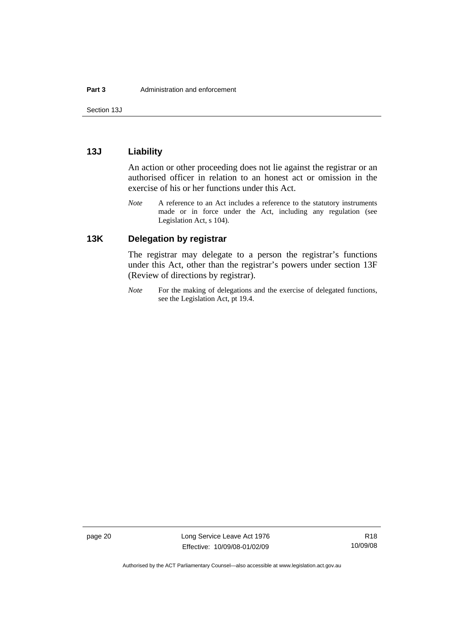<span id="page-25-0"></span>Section 13J

## **13J Liability**

An action or other proceeding does not lie against the registrar or an authorised officer in relation to an honest act or omission in the exercise of his or her functions under this Act.

*Note* A reference to an Act includes a reference to the statutory instruments made or in force under the Act, including any regulation (see Legislation Act, s 104).

## **13K Delegation by registrar**

The registrar may delegate to a person the registrar's functions under this Act, other than the registrar's powers under section 13F (Review of directions by registrar).

*Note* For the making of delegations and the exercise of delegated functions, see the Legislation Act, pt 19.4.

page 20 Long Service Leave Act 1976 Effective: 10/09/08-01/02/09

Authorised by the ACT Parliamentary Counsel—also accessible at www.legislation.act.gov.au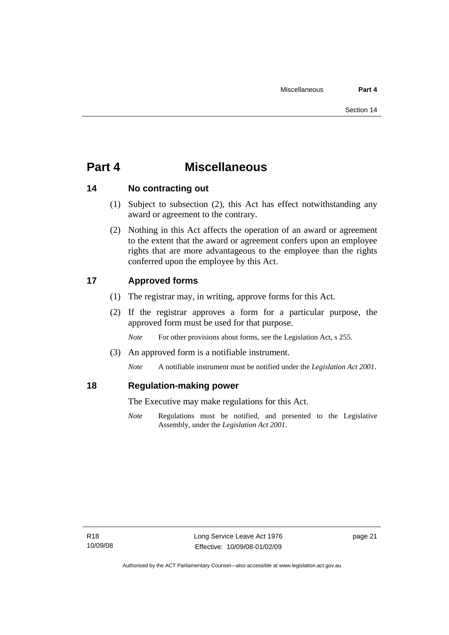# <span id="page-26-0"></span>**Part 4 Miscellaneous**

## **14 No contracting out**

- (1) Subject to subsection (2), this Act has effect notwithstanding any award or agreement to the contrary.
- (2) Nothing in this Act affects the operation of an award or agreement to the extent that the award or agreement confers upon an employee rights that are more advantageous to the employee than the rights conferred upon the employee by this Act.

## **17 Approved forms**

- (1) The registrar may, in writing, approve forms for this Act.
- (2) If the registrar approves a form for a particular purpose, the approved form must be used for that purpose.

*Note* For other provisions about forms, see the Legislation Act, s 255.

(3) An approved form is a notifiable instrument.

*Note* A notifiable instrument must be notified under the *Legislation Act 2001*.

## **18 Regulation-making power**

The Executive may make regulations for this Act.

*Note* Regulations must be notified, and presented to the Legislative Assembly, under the *Legislation Act 2001*.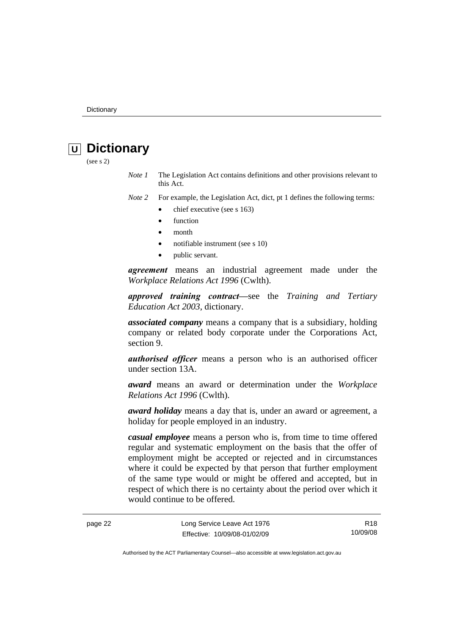# <span id="page-27-0"></span>*<u>U* Dictionary</u>

(see s 2)

*Note 1* The Legislation Act contains definitions and other provisions relevant to this Act.

*Note 2* For example, the Legislation Act, dict, pt 1 defines the following terms:

- chief executive (see s 163)
	- **function**
	- month
	- notifiable instrument (see s 10)
	- public servant.

*agreement* means an industrial agreement made under the *Workplace Relations Act 1996* (Cwlth).

*approved training contract—*see the *Training and Tertiary Education Act 2003*, dictionary.

*associated company* means a company that is a subsidiary, holding company or related body corporate under the Corporations Act, section 9.

*authorised officer* means a person who is an authorised officer under section 13A.

*award* means an award or determination under the *Workplace Relations Act 1996* (Cwlth).

*award holiday* means a day that is, under an award or agreement, a holiday for people employed in an industry.

*casual employee* means a person who is, from time to time offered regular and systematic employment on the basis that the offer of employment might be accepted or rejected and in circumstances where it could be expected by that person that further employment of the same type would or might be offered and accepted, but in respect of which there is no certainty about the period over which it would continue to be offered.

page 22 Long Service Leave Act 1976 Effective: 10/09/08-01/02/09

R18 10/09/08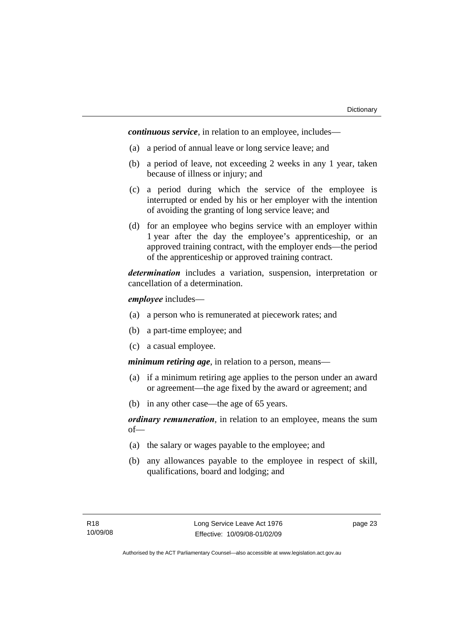*continuous service*, in relation to an employee, includes—

- (a) a period of annual leave or long service leave; and
- (b) a period of leave, not exceeding 2 weeks in any 1 year, taken because of illness or injury; and
- (c) a period during which the service of the employee is interrupted or ended by his or her employer with the intention of avoiding the granting of long service leave; and
- (d) for an employee who begins service with an employer within 1 year after the day the employee's apprenticeship, or an approved training contract, with the employer ends—the period of the apprenticeship or approved training contract.

*determination* includes a variation, suspension, interpretation or cancellation of a determination.

*employee* includes—

- (a) a person who is remunerated at piecework rates; and
- (b) a part-time employee; and
- (c) a casual employee.

*minimum retiring age*, in relation to a person, means—

- (a) if a minimum retiring age applies to the person under an award or agreement—the age fixed by the award or agreement; and
- (b) in any other case—the age of 65 years.

*ordinary remuneration*, in relation to an employee, means the sum of—

- (a) the salary or wages payable to the employee; and
- (b) any allowances payable to the employee in respect of skill, qualifications, board and lodging; and

page 23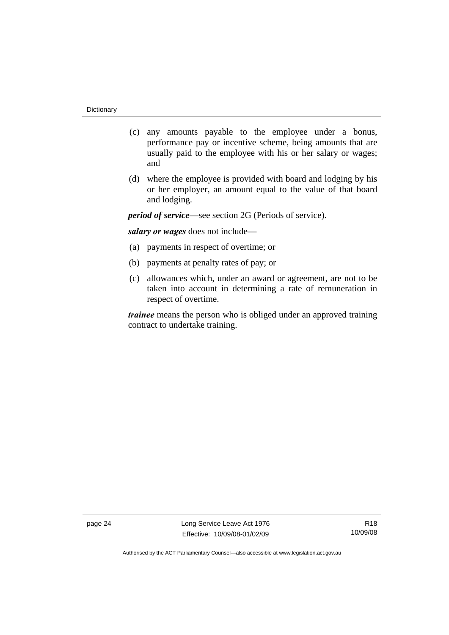- (c) any amounts payable to the employee under a bonus, performance pay or incentive scheme, being amounts that are usually paid to the employee with his or her salary or wages; and
- (d) where the employee is provided with board and lodging by his or her employer, an amount equal to the value of that board and lodging.

*period of service*—see section 2G (Periods of service).

*salary or wages* does not include—

- (a) payments in respect of overtime; or
- (b) payments at penalty rates of pay; or
- (c) allowances which, under an award or agreement, are not to be taken into account in determining a rate of remuneration in respect of overtime.

*trainee* means the person who is obliged under an approved training contract to undertake training.

page 24 Long Service Leave Act 1976 Effective: 10/09/08-01/02/09

R18 10/09/08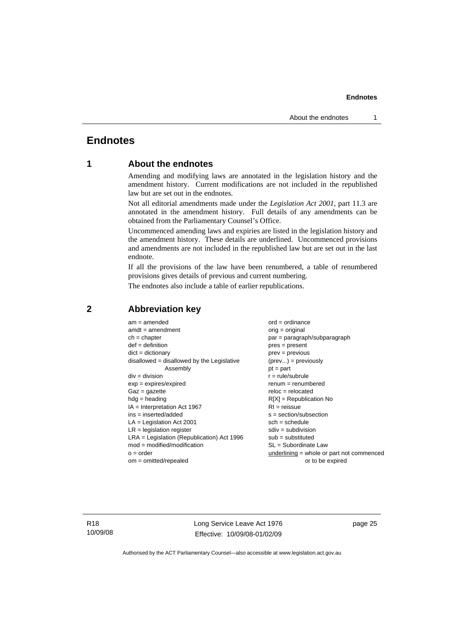## <span id="page-30-0"></span>**Endnotes**

## **1 About the endnotes**

Amending and modifying laws are annotated in the legislation history and the amendment history. Current modifications are not included in the republished law but are set out in the endnotes.

Not all editorial amendments made under the *Legislation Act 2001*, part 11.3 are annotated in the amendment history. Full details of any amendments can be obtained from the Parliamentary Counsel's Office.

Uncommenced amending laws and expiries are listed in the legislation history and the amendment history. These details are underlined. Uncommenced provisions and amendments are not included in the republished law but are set out in the last endnote.

If all the provisions of the law have been renumbered, a table of renumbered provisions gives details of previous and current numbering.

The endnotes also include a table of earlier republications.

| $am = amended$                               | $ord = ordinance$                         |
|----------------------------------------------|-------------------------------------------|
| $amdt = amendment$                           | $orig = original$                         |
| $ch = chapter$                               | $par = paragraph/subparagraph$            |
| $def = definition$                           | $pres = present$                          |
| $dict = dictionary$                          | $prev = previous$                         |
| $disallowed = disallowed by the Legislative$ | $(\text{prev}) = \text{previously}$       |
| Assembly                                     | $pt = part$                               |
| $div = division$                             | $r = rule/subrule$                        |
| $exp = expires/expired$                      | $renum = renumbered$                      |
| $Gaz = gazette$                              | $reloc = relocated$                       |
| $hdg =$ heading                              | $R[X]$ = Republication No                 |
| $IA = Interpretation Act 1967$               | $RI = reissue$                            |
| $ins = inserted/added$                       | $s = section/subsection$                  |
| $LA =$ Legislation Act 2001                  | $sch = schedule$                          |
| $LR =$ legislation register                  | $sdiv = subdivision$                      |
| $LRA =$ Legislation (Republication) Act 1996 | $sub = substituted$                       |
| $mod = modified/modification$                | $SL = Subordinate$ Law                    |
| $o = order$                                  | underlining = whole or part not commenced |
| $om = omitted/repealed$                      | or to be expired                          |
|                                              |                                           |

#### **2 Abbreviation key**

R18 10/09/08 Long Service Leave Act 1976 Effective: 10/09/08-01/02/09

page 25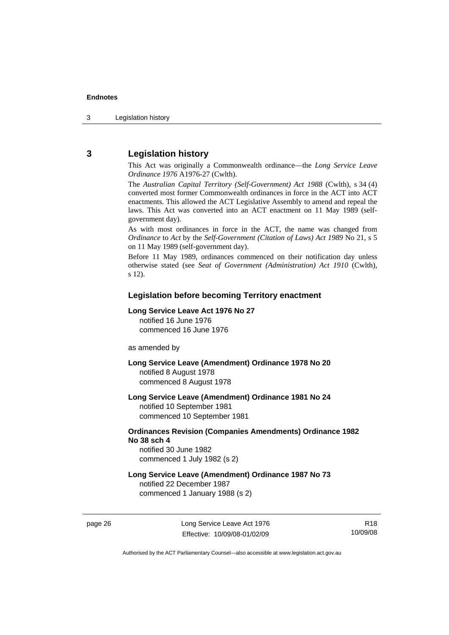## <span id="page-31-0"></span>**3 Legislation history**

This Act was originally a Commonwealth ordinance—the *Long Service Leave Ordinance 1976* A1976-27 (Cwlth).

The *Australian Capital Territory (Self-Government) Act 1988* (Cwlth), s 34 (4) converted most former Commonwealth ordinances in force in the ACT into ACT enactments. This allowed the ACT Legislative Assembly to amend and repeal the laws. This Act was converted into an ACT enactment on 11 May 1989 (selfgovernment day).

As with most ordinances in force in the ACT, the name was changed from *Ordinance* to *Act* by the *Self-Government (Citation of Laws) Act 1989* No 21, s 5 on 11 May 1989 (self-government day).

Before 11 May 1989, ordinances commenced on their notification day unless otherwise stated (see *Seat of Government (Administration) Act 1910* (Cwlth), s 12).

#### **Legislation before becoming Territory enactment**

#### **Long Service Leave Act 1976 No 27**

notified 16 June 1976 commenced 16 June 1976

as amended by

**Long Service Leave (Amendment) Ordinance 1978 No 20**  notified 8 August 1978 commenced 8 August 1978

**Long Service Leave (Amendment) Ordinance 1981 No 24** 

notified 10 September 1981 commenced 10 September 1981

#### **Ordinances Revision (Companies Amendments) Ordinance 1982 No 38 sch 4**

notified 30 June 1982 commenced 1 July 1982 (s 2)

#### **Long Service Leave (Amendment) Ordinance 1987 No 73**

notified 22 December 1987 commenced 1 January 1988 (s 2)

page 26 Long Service Leave Act 1976 Effective: 10/09/08-01/02/09

R18 10/09/08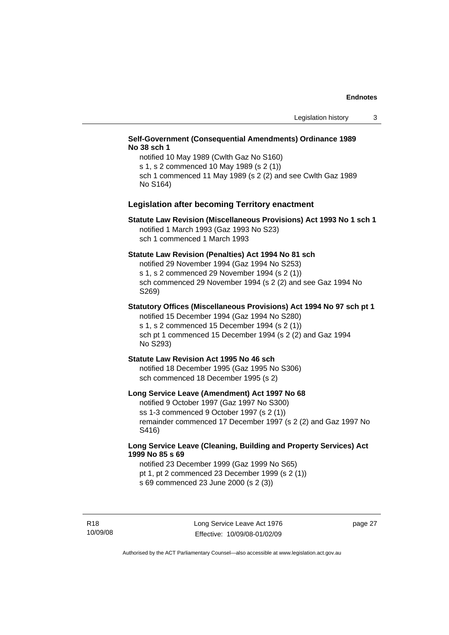#### **Self-Government (Consequential Amendments) Ordinance 1989 No 38 sch 1**

notified 10 May 1989 (Cwlth Gaz No S160) s 1, s 2 commenced 10 May 1989 (s 2 (1)) sch 1 commenced 11 May 1989 (s 2 (2) and see Cwlth Gaz 1989 No S164)

#### **Legislation after becoming Territory enactment**

#### **Statute Law Revision (Miscellaneous Provisions) Act 1993 No 1 sch 1**  notified 1 March 1993 (Gaz 1993 No S23) sch 1 commenced 1 March 1993

#### **Statute Law Revision (Penalties) Act 1994 No 81 sch**

notified 29 November 1994 (Gaz 1994 No S253) s 1, s 2 commenced 29 November 1994 (s 2 (1)) sch commenced 29 November 1994 (s 2 (2) and see Gaz 1994 No S269)

## **Statutory Offices (Miscellaneous Provisions) Act 1994 No 97 sch pt 1**

notified 15 December 1994 (Gaz 1994 No S280) s 1, s 2 commenced 15 December 1994 (s 2 (1)) sch pt 1 commenced 15 December 1994 (s 2 (2) and Gaz 1994 No S293)

#### **Statute Law Revision Act 1995 No 46 sch**

notified 18 December 1995 (Gaz 1995 No S306) sch commenced 18 December 1995 (s 2)

#### **Long Service Leave (Amendment) Act 1997 No 68**

notified 9 October 1997 (Gaz 1997 No S300) ss 1-3 commenced 9 October 1997 (s 2 (1)) remainder commenced 17 December 1997 (s 2 (2) and Gaz 1997 No S416)

#### **Long Service Leave (Cleaning, Building and Property Services) Act 1999 No 85 s 69**

notified 23 December 1999 (Gaz 1999 No S65) pt 1, pt 2 commenced 23 December 1999 (s 2 (1)) s 69 commenced 23 June 2000 (s 2 (3))

R18 10/09/08 page 27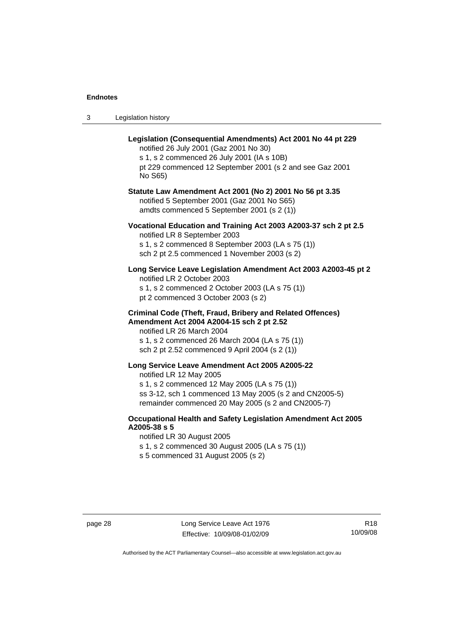| Legislation history<br>-3 |  |
|---------------------------|--|
|---------------------------|--|

| Legislation (Consequential Amendments) Act 2001 No 44 pt 229<br>notified 26 July 2001 (Gaz 2001 No 30)<br>s 1, s 2 commenced 26 July 2001 (IA s 10B)<br>pt 229 commenced 12 September 2001 (s 2 and see Gaz 2001<br>No S65)                     |
|-------------------------------------------------------------------------------------------------------------------------------------------------------------------------------------------------------------------------------------------------|
| Statute Law Amendment Act 2001 (No 2) 2001 No 56 pt 3.35<br>notified 5 September 2001 (Gaz 2001 No S65)<br>amdts commenced 5 September 2001 (s 2 (1))                                                                                           |
| Vocational Education and Training Act 2003 A2003-37 sch 2 pt 2.5<br>notified LR 8 September 2003<br>s 1, s 2 commenced 8 September 2003 (LA s 75 (1))<br>sch 2 pt 2.5 commenced 1 November 2003 (s 2)                                           |
| Long Service Leave Legislation Amendment Act 2003 A2003-45 pt 2<br>notified LR 2 October 2003<br>s 1, s 2 commenced 2 October 2003 (LA s 75 (1))<br>pt 2 commenced 3 October 2003 (s 2)                                                         |
| <b>Criminal Code (Theft, Fraud, Bribery and Related Offences)</b><br>Amendment Act 2004 A2004-15 sch 2 pt 2.52<br>notified LR 26 March 2004<br>s 1, s 2 commenced 26 March 2004 (LA s 75 (1))<br>sch 2 pt 2.52 commenced 9 April 2004 (s 2 (1)) |
| Long Service Leave Amendment Act 2005 A2005-22<br>notified LR 12 May 2005<br>s 1, s 2 commenced 12 May 2005 (LA s 75 (1))<br>ss 3-12, sch 1 commenced 13 May 2005 (s 2 and CN2005-5)<br>remainder commenced 20 May 2005 (s 2 and CN2005-7)      |
| Occupational Health and Safety Legislation Amendment Act 2005<br>A2005-38 s 5<br>notified LR 30 August 2005<br>s 1, s 2 commenced 30 August 2005 (LA s 75 (1))                                                                                  |

s 5 commenced 31 August 2005 (s 2)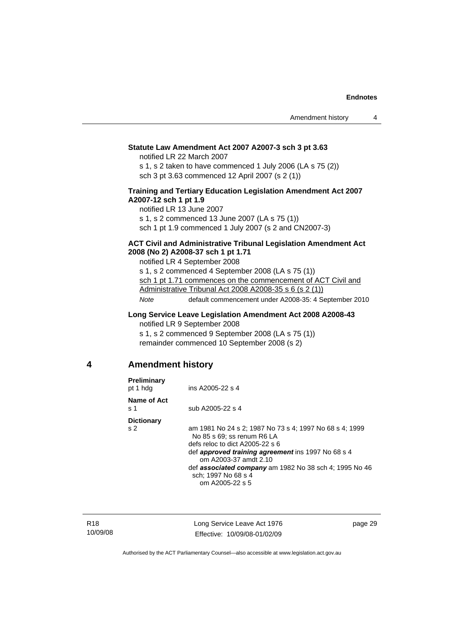## <span id="page-34-0"></span>**Statute Law Amendment Act 2007 A2007-3 sch 3 pt 3.63**

notified LR 22 March 2007

s 1, s 2 taken to have commenced 1 July 2006 (LA s 75 (2)) sch 3 pt 3.63 commenced 12 April 2007 (s 2 (1))

#### **Training and Tertiary Education Legislation Amendment Act 2007 A2007-12 sch 1 pt 1.9**

notified LR 13 June 2007 s 1, s 2 commenced 13 June 2007 (LA s 75 (1)) sch 1 pt 1.9 commenced 1 July 2007 (s 2 and CN2007-3)

#### **ACT Civil and Administrative Tribunal Legislation Amendment Act 2008 (No 2) A2008-37 sch 1 pt 1.71**

notified LR 4 September 2008 s 1, s 2 commenced 4 September 2008 (LA s 75 (1)) sch 1 pt 1.71 commences on the commencement of ACT Civil and Administrative Tribunal Act 2008 A2008-35 s 6 (s 2 (1)) *Note* default commencement under A2008-35: 4 September 2010

**Long Service Leave Legislation Amendment Act 2008 A2008-43** 

notified LR 9 September 2008 s 1, s 2 commenced 9 September 2008 (LA s 75 (1)) remainder commenced 10 September 2008 (s 2)

## **4 Amendment history**

| Preliminary<br>pt 1 hdg  | ins A2005-22 s 4                                                                                                                                                                                                                                                                                |
|--------------------------|-------------------------------------------------------------------------------------------------------------------------------------------------------------------------------------------------------------------------------------------------------------------------------------------------|
| Name of Act<br>s 1       | sub A2005-22 s 4                                                                                                                                                                                                                                                                                |
| <b>Dictionary</b><br>s 2 | am 1981 No 24 s 2; 1987 No 73 s 4; 1997 No 68 s 4; 1999<br>No 85 s 69: ss renum R6 LA<br>defs reloc to dict A2005-22 s 6<br>def approved training agreement ins 1997 No 68 s 4<br>om A2003-37 amdt 2.10<br>def <b>associated company</b> am 1982 No 38 sch 4; 1995 No 46<br>sch; 1997 No 68 s 4 |
|                          | om A2005-22 s 5                                                                                                                                                                                                                                                                                 |

R18 10/09/08 Long Service Leave Act 1976 Effective: 10/09/08-01/02/09

page 29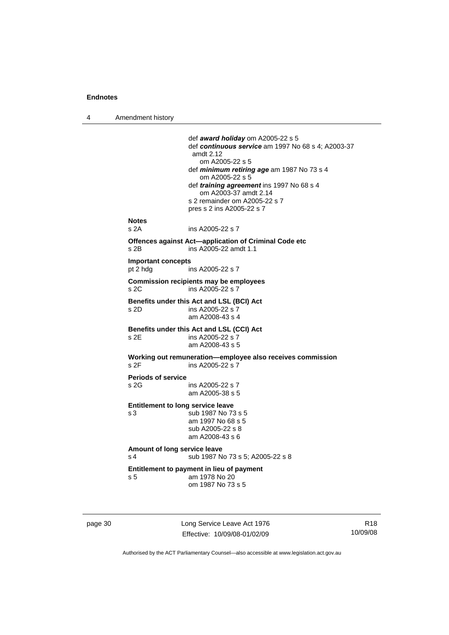4 Amendment history

```
 def award holiday om A2005-22 s 5 
                  def continuous service am 1997 No 68 s 4; A2003-37 
                  amdt 2.12 
                      om A2005-22 s 5 
                  def minimum retiring age am 1987 No 73 s 4 
                     om A2005-22 s 5 
                  def training agreement ins 1997 No 68 s 4 
                     om A2003-37 amdt 2.14 
                  s 2 remainder om A2005-22 s 7 
                  pres s 2 ins A2005-22 s 7 
Notes 
                 ins A2005-22 s 7
Offences against Act—application of Criminal Code etc 
s 2B ins A2005-22 amdt 1.1 
Important concepts 
                 ins A2005-22 s 7
Commission recipients may be employees 
s 2C ins A2005-22 s 7 
Benefits under this Act and LSL (BCI) Act 
                 ins A2005-22 s 7 am A2008-43 s 4 
Benefits under this Act and LSL (CCI) Act 
s 2E ins A2005-22 s 7
                  am A2008-43 s 5 
Working out remuneration—employee also receives commission 
s 2F ins A2005-22 s 7
Periods of service 
                 ins A2005-22 s 7
                  am A2005-38 s 5 
Entitlement to long service leave 
s 3 sub 1987 No 73 s 5 
                  am 1997 No 68 s 5 
                  sub A2005-22 s 8 
                  am A2008-43 s 6 
Amount of long service leave 
s 4 sub 1987 No 73 s 5; A2005-22 s 8
Entitlement to payment in lieu of payment 
s 5 am 1978 No 20 
                  om 1987 No 73 s 5
```
page 30 Long Service Leave Act 1976 Effective: 10/09/08-01/02/09

R18 10/09/08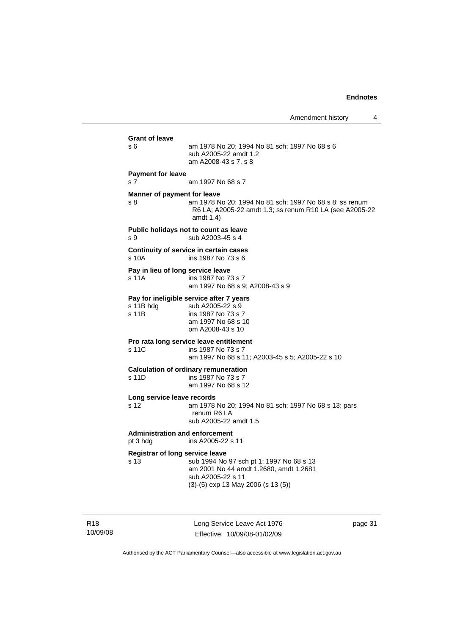Amendment history 4

| <b>Grant of leave</b> |                                                                                                                                                                                                                                                                 |
|-----------------------|-----------------------------------------------------------------------------------------------------------------------------------------------------------------------------------------------------------------------------------------------------------------|
| s 6                   | am 1978 No 20; 1994 No 81 sch; 1997 No 68 s 6<br>sub A2005-22 amdt 1.2<br>am A2008-43 s 7, s 8                                                                                                                                                                  |
|                       |                                                                                                                                                                                                                                                                 |
|                       | am 1997 No 68 s 7                                                                                                                                                                                                                                               |
| s 8                   | am 1978 No 20; 1994 No 81 sch; 1997 No 68 s 8; ss renum<br>R6 LA; A2005-22 amdt 1.3; ss renum R10 LA (see A2005-22<br>amdt 1.4)                                                                                                                                 |
| s 9                   | Public holidays not to count as leave<br>sub A2003-45 s 4                                                                                                                                                                                                       |
| s 10A                 | Continuity of service in certain cases<br>ins 1987 No 73 s 6                                                                                                                                                                                                    |
|                       |                                                                                                                                                                                                                                                                 |
| s 11A                 | ins 1987 No 73 s 7<br>am 1997 No 68 s 9; A2008-43 s 9                                                                                                                                                                                                           |
|                       | Pay for ineligible service after 7 years                                                                                                                                                                                                                        |
|                       | sub A2005-22 s 9<br>ins 1987 No 73 s 7                                                                                                                                                                                                                          |
|                       | am 1997 No 68 s 10<br>om A2008-43 s 10                                                                                                                                                                                                                          |
|                       | Pro rata long service leave entitlement                                                                                                                                                                                                                         |
| s 11C                 | ins 1987 No 73 s 7<br>am 1997 No 68 s 11; A2003-45 s 5; A2005-22 s 10                                                                                                                                                                                           |
|                       | <b>Calculation of ordinary remuneration</b>                                                                                                                                                                                                                     |
|                       | ins 1987 No 73 s 7<br>am 1997 No 68 s 12                                                                                                                                                                                                                        |
|                       |                                                                                                                                                                                                                                                                 |
|                       | am 1978 No 20; 1994 No 81 sch; 1997 No 68 s 13; pars<br>renum R6 LA<br>sub A2005-22 amdt 1.5                                                                                                                                                                    |
| pt 3 hdg              | ins A2005-22 s 11                                                                                                                                                                                                                                               |
|                       |                                                                                                                                                                                                                                                                 |
| s 13                  | sub 1994 No 97 sch pt 1; 1997 No 68 s 13                                                                                                                                                                                                                        |
|                       | am 2001 No 44 amdt 1.2680, amdt 1.2681<br>sub A2005-22 s 11                                                                                                                                                                                                     |
|                       | $(3)-(5)$ exp 13 May 2006 (s 13 (5))                                                                                                                                                                                                                            |
|                       | <b>Payment for leave</b><br>s <sub>7</sub><br>Manner of payment for leave<br>Pay in lieu of long service leave<br>s 11B hdg<br>s 11B<br>s 11D<br>Long service leave records<br>s 12<br><b>Administration and enforcement</b><br>Registrar of long service leave |

R18 10/09/08 Long Service Leave Act 1976 Effective: 10/09/08-01/02/09

page 31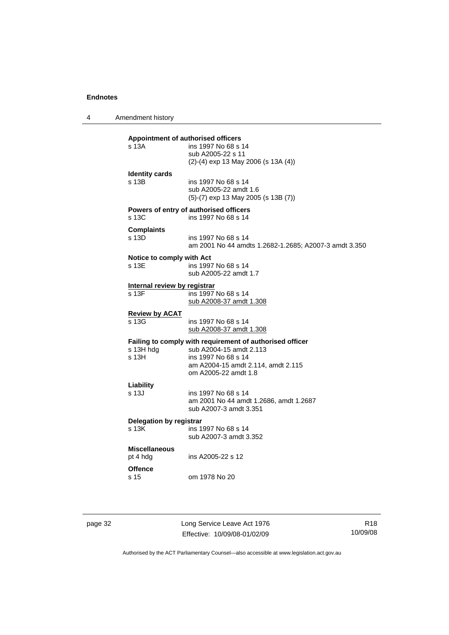4 Amendment history

| Appointment of authorised officers<br>s 13A | ins 1997 No 68 s 14<br>sub A2005-22 s 11<br>$(2)-(4)$ exp 13 May 2006 (s 13A $(4)$ )                                                                                     |
|---------------------------------------------|--------------------------------------------------------------------------------------------------------------------------------------------------------------------------|
| <b>Identity cards</b><br>s 13B              | ins 1997 No 68 s 14<br>sub A2005-22 amdt 1.6<br>(5)-(7) exp 13 May 2005 (s 13B (7))                                                                                      |
| $s$ 13 $C$                                  | Powers of entry of authorised officers<br>ins 1997 No 68 s 14                                                                                                            |
| <b>Complaints</b><br>s 13D                  | ins 1997 No 68 s 14<br>am 2001 No 44 amdts 1.2682-1.2685; A2007-3 amdt 3.350                                                                                             |
| Notice to comply with Act<br>s 13E          | ins 1997 No 68 s 14<br>sub A2005-22 amdt 1.7                                                                                                                             |
| Internal review by registrar<br>s 13F       | ins 1997 No 68 s 14<br>sub A2008-37 amdt 1.308                                                                                                                           |
| <b>Review by ACAT</b><br>s 13G              | ins 1997 No 68 s 14<br>sub A2008-37 amdt 1.308                                                                                                                           |
| s 13H hdg<br>s <sub>13H</sub>               | Failing to comply with requirement of authorised officer<br>sub A2004-15 amdt 2.113<br>ins 1997 No 68 s 14<br>am A2004-15 amdt 2.114, amdt 2.115<br>om A2005-22 amdt 1.8 |
| Liability<br>s 13J                          | ins 1997 No 68 s 14<br>am 2001 No 44 amdt 1.2686, amdt 1.2687<br>sub A2007-3 amdt 3.351                                                                                  |
| Delegation by registrar<br>s 13K            | ins 1997 No 68 s 14<br>sub A2007-3 amdt 3.352                                                                                                                            |
| <b>Miscellaneous</b><br>pt 4 hdg            | ins A2005-22 s 12                                                                                                                                                        |
| <b>Offence</b><br>s 15                      | om 1978 No 20                                                                                                                                                            |
|                                             |                                                                                                                                                                          |

page 32 Long Service Leave Act 1976 Effective: 10/09/08-01/02/09

R18 10/09/08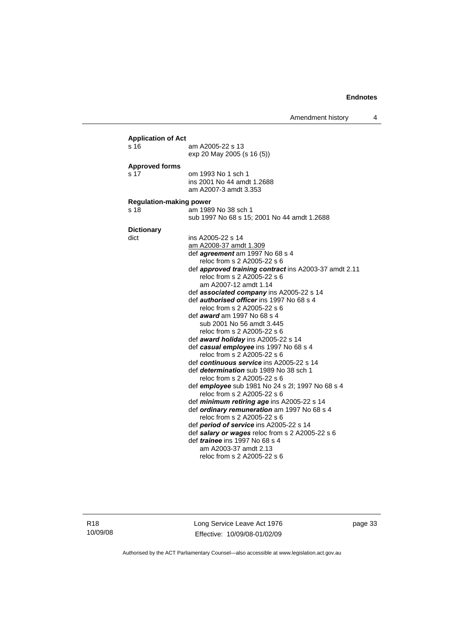Amendment history 4

| <b>Application of Act</b><br>s 16      | am A2005-22 s 13<br>exp 20 May 2005 (s 16 (5))                                                                                                                                                                                                                                                                                                                                                                                                                                                                                                                                                                                                                                                                                                                                                                                                                                                                                                                                                                                                                                                                            |  |  |
|----------------------------------------|---------------------------------------------------------------------------------------------------------------------------------------------------------------------------------------------------------------------------------------------------------------------------------------------------------------------------------------------------------------------------------------------------------------------------------------------------------------------------------------------------------------------------------------------------------------------------------------------------------------------------------------------------------------------------------------------------------------------------------------------------------------------------------------------------------------------------------------------------------------------------------------------------------------------------------------------------------------------------------------------------------------------------------------------------------------------------------------------------------------------------|--|--|
| <b>Approved forms</b><br>s 17          | om 1993 No 1 sch 1<br>ins 2001 No 44 amdt 1.2688<br>am A2007-3 amdt 3.353                                                                                                                                                                                                                                                                                                                                                                                                                                                                                                                                                                                                                                                                                                                                                                                                                                                                                                                                                                                                                                                 |  |  |
| <b>Regulation-making power</b><br>s 18 | am 1989 No 38 sch 1<br>sub 1997 No 68 s 15; 2001 No 44 amdt 1.2688                                                                                                                                                                                                                                                                                                                                                                                                                                                                                                                                                                                                                                                                                                                                                                                                                                                                                                                                                                                                                                                        |  |  |
| <b>Dictionary</b><br>dict              | ins A2005-22 s 14<br>am A2008-37 amdt 1.309<br>def <i>agreement</i> am 1997 No 68 s 4<br>reloc from s 2 A2005-22 s 6<br>def approved training contract ins A2003-37 amdt 2.11<br>reloc from s 2 A2005-22 s 6<br>am A2007-12 amdt 1.14<br>def associated company ins A2005-22 s 14<br>def <i>authorised officer</i> ins 1997 No 68 s 4<br>reloc from s 2 A2005-22 s 6<br>def <i>award</i> am 1997 No 68 s 4<br>sub 2001 No 56 amdt 3.445<br>reloc from s 2 A2005-22 s 6<br>def award holiday ins A2005-22 s 14<br>def casual employee ins 1997 No 68 s 4<br>reloc from s 2 A2005-22 s 6<br>def continuous service ins A2005-22 s 14<br>def <i>determination</i> sub 1989 No 38 sch 1<br>reloc from s 2 A2005-22 s 6<br>def employee sub 1981 No 24 s 2l; 1997 No 68 s 4<br>reloc from s 2 A2005-22 s 6<br>def minimum retiring age ins A2005-22 s 14<br>def ordinary remuneration am 1997 No 68 s 4<br>reloc from s 2 A2005-22 s 6<br>def period of service ins A2005-22 s 14<br>def salary or wages reloc from s 2 A2005-22 s 6<br>def trainee ins 1997 No 68 s 4<br>am A2003-37 amdt 2.13<br>reloc from s 2 A2005-22 s 6 |  |  |

R18 10/09/08 Long Service Leave Act 1976 Effective: 10/09/08-01/02/09 page 33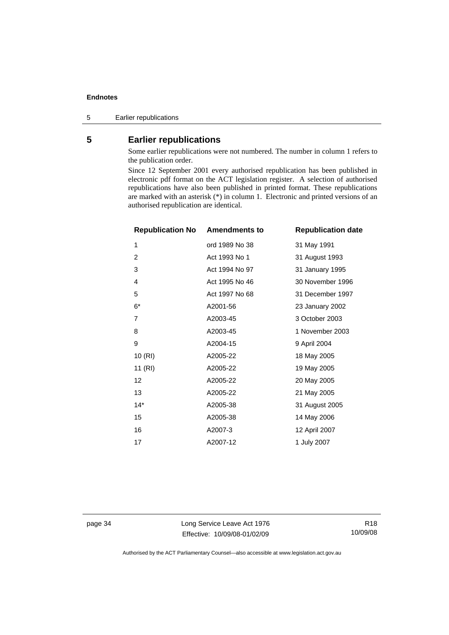<span id="page-39-0"></span>5 Earlier republications

## **5 Earlier republications**

Some earlier republications were not numbered. The number in column 1 refers to the publication order.

Since 12 September 2001 every authorised republication has been published in electronic pdf format on the ACT legislation register. A selection of authorised republications have also been published in printed format. These republications are marked with an asterisk (\*) in column 1. Electronic and printed versions of an authorised republication are identical.

| <b>Republication No Amendments to</b> |                | <b>Republication date</b> |
|---------------------------------------|----------------|---------------------------|
| 1                                     | ord 1989 No 38 | 31 May 1991               |
| $\overline{2}$                        | Act 1993 No 1  | 31 August 1993            |
| 3                                     | Act 1994 No 97 | 31 January 1995           |
| 4                                     | Act 1995 No 46 | 30 November 1996          |
| 5                                     | Act 1997 No 68 | 31 December 1997          |
| $6*$                                  | A2001-56       | 23 January 2002           |
| 7                                     | A2003-45       | 3 October 2003            |
| 8                                     | A2003-45       | 1 November 2003           |
| 9                                     | A2004-15       | 9 April 2004              |
| 10(RI)                                | A2005-22       | 18 May 2005               |
| 11(RI)                                | A2005-22       | 19 May 2005               |
| 12                                    | A2005-22       | 20 May 2005               |
| 13                                    | A2005-22       | 21 May 2005               |
| $14*$                                 | A2005-38       | 31 August 2005            |
| 15                                    | A2005-38       | 14 May 2006               |
| 16                                    | A2007-3        | 12 April 2007             |
| 17                                    | A2007-12       | 1 July 2007               |

page 34 Long Service Leave Act 1976 Effective: 10/09/08-01/02/09

R18 10/09/08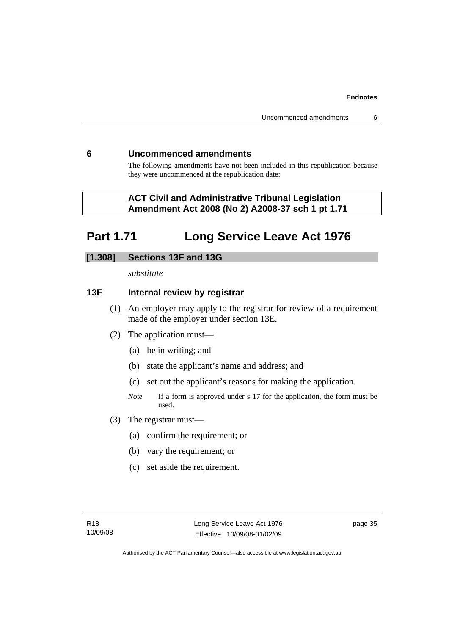## <span id="page-40-0"></span>**6 Uncommenced amendments**

The following amendments have not been included in this republication because they were uncommenced at the republication date:

## **ACT Civil and Administrative Tribunal Legislation Amendment Act 2008 (No 2) A2008-37 sch 1 pt 1.71**

# **Part 1.71 Long Service Leave Act 1976**

## **[1.308] Sections 13F and 13G**

*substitute* 

## **13F Internal review by registrar**

- (1) An employer may apply to the registrar for review of a requirement made of the employer under section 13E.
- (2) The application must—
	- (a) be in writing; and
	- (b) state the applicant's name and address; and
	- (c) set out the applicant's reasons for making the application.
	- *Note* If a form is approved under s 17 for the application, the form must be used.
- (3) The registrar must—
	- (a) confirm the requirement; or
	- (b) vary the requirement; or
	- (c) set aside the requirement.